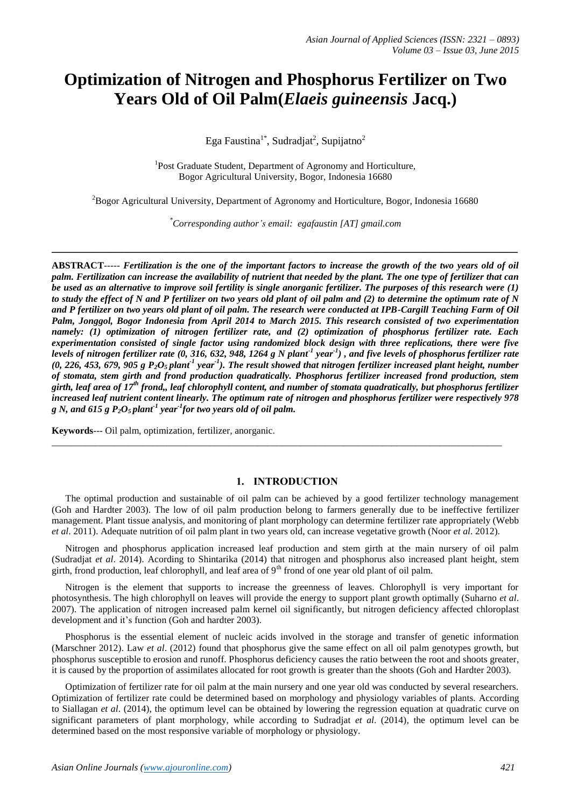# **Optimization of Nitrogen and Phosphorus Fertilizer on Two Years Old of Oil Palm(***Elaeis guineensis* **Jacq.)**

Ega Faustina<sup>1\*</sup>, Sudradjat<sup>2</sup>, Supijatno<sup>2</sup>

<sup>1</sup>Post Graduate Student, Department of Agronomy and Horticulture, Bogor Agricultural University, Bogor, Indonesia 16680

<sup>2</sup>Bogor Agricultural University, Department of Agronomy and Horticulture, Bogor, Indonesia 16680

*\*Corresponding author's email: egafaustin [\[AT\] gmail.com](mailto:egafaustin@gmail.com)*

**\_\_\_\_\_\_\_\_\_\_\_\_\_\_\_\_\_\_\_\_\_\_\_\_\_\_\_\_\_\_\_\_\_\_\_\_\_\_\_\_\_\_\_\_\_\_\_\_\_\_\_\_\_\_\_\_\_\_\_\_\_\_\_\_\_\_\_\_\_\_\_\_\_\_\_\_\_\_\_\_\_**

**ABSTRACT***----- Fertilization is the one of the important factors to increase the growth of the two years old of oil palm. Fertilization can increase the availability of nutrient that needed by the plant. The one type of fertilizer that can be used as an alternative to improve soil fertility is single anorganic fertilizer. The purposes of this research were (1) to study the effect of N and P fertilizer on two years old plant of oil palm and (2) to determine the optimum rate of N and P fertilizer on two years old plant of oil palm. The research were conducted at IPB-Cargill Teaching Farm of Oil Palm, Jonggol, Bogor Indonesia from April 2014 to March 2015. This research consisted of two experimentation namely: (1) optimization of nitrogen fertilizer rate, and (2) optimization of phosphorus fertilizer rate. Each experimentation consisted of single factor using randomized block design with three replications, there were five levels of nitrogen fertilizer rate (0, 316, 632, 948, 1264 g N plant-1 year-1 ) , and five levels of phosphorus fertilizer rate*   $(0, 226, 453, 679, 905 \text{ g } P_2O_5$ plant<sup>1</sup> year<sup>1</sup>). The result showed that nitrogen fertilizer increased plant height, number *of stomata, stem girth and frond production quadratically. Phosphorus fertilizer increased frond production, stem girth, leaf area of 17th frond,, leaf chlorophyll content, and number of stomata quadratically, but phosphorus fertilizer increased leaf nutrient content linearly. The optimum rate of nitrogen and phosphorus fertilizer were respectively 978*   $g$  N, and 615  $g$   $P_2O_5$  plant<sup>1</sup> year<sup>1</sup> for two years old of oil palm.

**Keywords**--- Oil palm, optimization, fertilizer, anorganic.

#### **1. INTRODUCTION**

\_\_\_\_\_\_\_\_\_\_\_\_\_\_\_\_\_\_\_\_\_\_\_\_\_\_\_\_\_\_\_\_\_\_\_\_\_\_\_\_\_\_\_\_\_\_\_\_\_\_\_\_\_\_\_\_\_\_\_\_\_\_\_\_\_\_\_\_\_\_\_\_\_\_\_\_\_\_\_\_\_\_\_\_\_\_\_\_\_\_\_\_\_\_

The optimal production and sustainable of oil palm can be achieved by a good fertilizer technology management (Goh and Hardter 2003). The low of oil palm production belong to farmers generally due to be ineffective fertilizer management. Plant tissue analysis, and monitoring of plant morphology can determine fertilizer rate appropriately (Webb *et al*. 2011). Adequate nutrition of oil palm plant in two years old, can increase vegetative growth (Noor *et al*. 2012).

Nitrogen and phosphorus application increased leaf production and stem girth at the main nursery of oil palm (Sudradjat *et al*. 2014). Acording to Shintarika (2014) that nitrogen and phosphorus also increased plant height, stem girth, frond production, leaf chlorophyll, and leaf area of 9<sup>th</sup> frond of one year old plant of oil palm.

Nitrogen is the element that supports to increase the greenness of leaves. Chlorophyll is very important for photosynthesis. The high chlorophyll on leaves will provide the energy to support plant growth optimally (Suharno *et al*. 2007). The application of nitrogen increased palm kernel oil significantly, but nitrogen deficiency affected chloroplast development and it's function (Goh and hardter 2003).

Phosphorus is the essential element of nucleic acids involved in the storage and transfer of genetic information (Marschner 2012). Law *et al*. (2012) found that phosphorus give the same effect on all oil palm genotypes growth, but phosphorus susceptible to erosion and runoff. Phosphorus deficiency causes the ratio between the root and shoots greater, it is caused by the proportion of assimilates allocated for root growth is greater than the shoots (Goh and Hardter 2003).

Optimization of fertilizer rate for oil palm at the main nursery and one year old was conducted by several researchers. Optimization of fertilizer rate could be determined based on morphology and physiology variables of plants. According to Siallagan *et al*. (2014), the optimum level can be obtained by lowering the regression equation at quadratic curve on significant parameters of plant morphology, while according to Sudradjat *et al*. (2014), the optimum level can be determined based on the most responsive variable of morphology or physiology.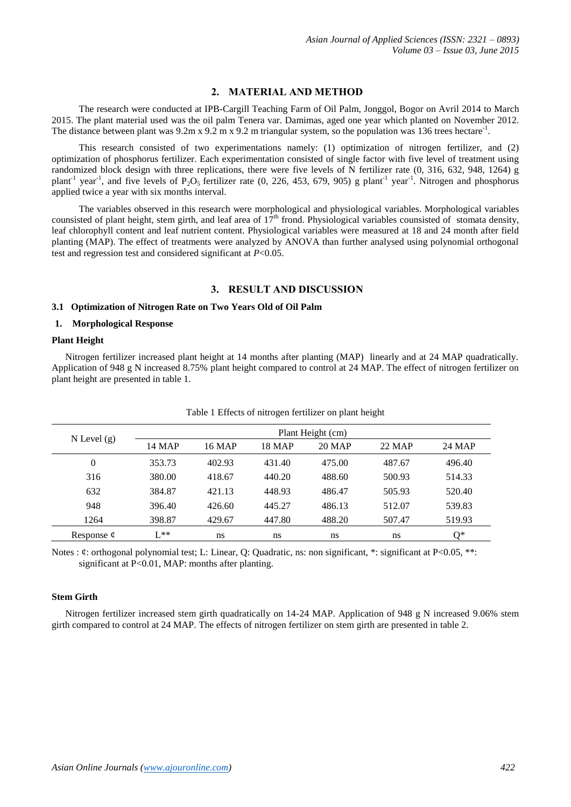# **2. MATERIAL AND METHOD**

The research were conducted at IPB-Cargill Teaching Farm of Oil Palm, Jonggol, Bogor on Avril 2014 to March 2015. The plant material used was the oil palm Tenera var. Damimas, aged one year which planted on November 2012. The distance between plant was 9.2m x 9.2 m x 9.2 m triangular system, so the population was 136 trees hectare<sup>-1</sup>.

This research consisted of two experimentations namely: (1) optimization of nitrogen fertilizer, and (2) optimization of phosphorus fertilizer. Each experimentation consisted of single factor with five level of treatment using randomized block design with three replications, there were five levels of N fertilizer rate (0, 316, 632, 948, 1264) g plant<sup>-1</sup> year<sup>-1</sup>, and five levels of P<sub>2</sub>O<sub>5</sub> fertilizer rate (0, 226, 453, 679, 905) g plant<sup>-1</sup> year<sup>-1</sup>. Nitrogen and phosphorus applied twice a year with six months interval.

The variables observed in this research were morphological and physiological variables. Morphological variables counsisted of plant height, stem girth, and leaf area of  $17<sup>th</sup>$  frond. Physiological variables counsisted of stomata density, leaf chlorophyll content and leaf nutrient content. Physiological variables were measured at 18 and 24 month after field planting (MAP). The effect of treatments were analyzed by ANOVA than further analysed using polynomial orthogonal test and regression test and considered significant at *P*<0.05.

# **3. RESULT AND DISCUSSION**

#### **3.1 Optimization of Nitrogen Rate on Two Years Old of Oil Palm**

#### **1. Morphological Response**

#### **Plant Height**

Nitrogen fertilizer increased plant height at 14 months after planting (MAP) linearly and at 24 MAP quadratically. Application of 948 g N increased 8.75% plant height compared to control at 24 MAP. The effect of nitrogen fertilizer on plant height are presented in table 1.

|                 | Plant Height (cm) |        |               |        |        |        |  |
|-----------------|-------------------|--------|---------------|--------|--------|--------|--|
| $N$ Level $(g)$ | <b>14 MAP</b>     | 16 MAP | <b>18 MAP</b> | 20 MAP | 22 MAP | 24 MAP |  |
| $\overline{0}$  | 353.73            | 402.93 | 431.40        | 475.00 | 487.67 | 496.40 |  |
| 316             | 380.00            | 418.67 | 440.20        | 488.60 | 500.93 | 514.33 |  |
| 632             | 384.87            | 421.13 | 448.93        | 486.47 | 505.93 | 520.40 |  |
| 948             | 396.40            | 426.60 | 445.27        | 486.13 | 512.07 | 539.83 |  |
| 1264            | 398.87            | 429.67 | 447.80        | 488.20 | 507.47 | 519.93 |  |
| Response $\phi$ | $I^*$             | ns     | ns            | ns     | ns     | 0*     |  |

#### Table 1 Effects of nitrogen fertilizer on plant height

Notes : ¢: orthogonal polynomial test; L: Linear, O: Quadratic, ns: non significant, \*: significant at P<0.05, \*\*: significant at P<0.01, MAP: months after planting.

## **Stem Girth**

Nitrogen fertilizer increased stem girth quadratically on 14-24 MAP. Application of 948 g N increased 9.06% stem girth compared to control at 24 MAP. The effects of nitrogen fertilizer on stem girth are presented in table 2.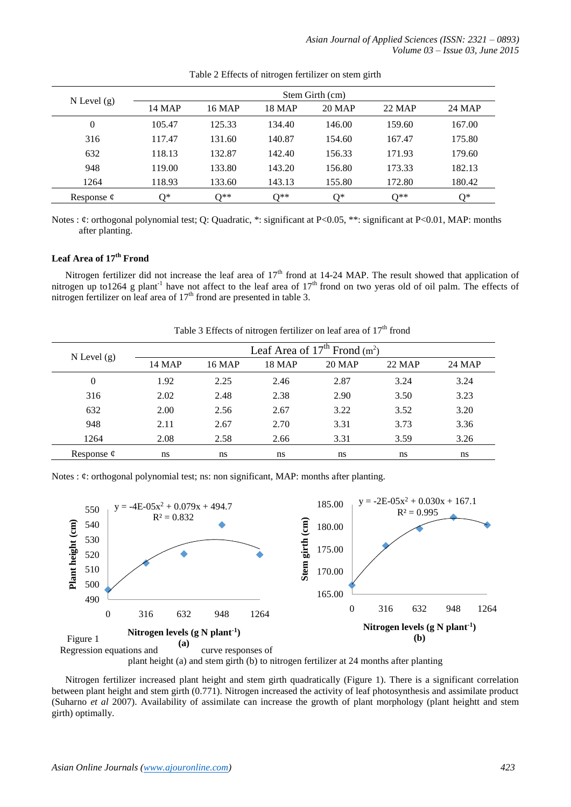| $N$ Level $(g)$ | Stem Girth (cm) |        |               |        |               |        |
|-----------------|-----------------|--------|---------------|--------|---------------|--------|
|                 | <b>14 MAP</b>   | 16 MAP | <b>18 MAP</b> | 20 MAP | <b>22 MAP</b> | 24 MAP |
| $\theta$        | 105.47          | 125.33 | 134.40        | 146.00 | 159.60        | 167.00 |
| 316             | 117.47          | 131.60 | 140.87        | 154.60 | 167.47        | 175.80 |
| 632             | 118.13          | 132.87 | 142.40        | 156.33 | 171.93        | 179.60 |
| 948             | 119.00          | 133.80 | 143.20        | 156.80 | 173.33        | 182.13 |
| 1264            | 118.93          | 133.60 | 143.13        | 155.80 | 172.80        | 180.42 |
| Response $\phi$ | ∩∗              | ∩**    | ∩**           | ∩∗     | $\bigcap$ **  | ∩*     |

Table 2 Effects of nitrogen fertilizer on stem girth

Notes : ¢: orthogonal polynomial test; Q: Quadratic, \*: significant at P<0.05, \*\*: significant at P<0.01, MAP: months after planting.

# **Leaf Area of 17th Frond**

Nitrogen fertilizer did not increase the leaf area of  $17<sup>th</sup>$  frond at 14-24 MAP. The result showed that application of nitrogen up to1264 g plant<sup>-1</sup> have not affect to the leaf area of  $17<sup>th</sup>$  frond on two yeras old of oil palm. The effects of nitrogen fertilizer on leaf area of  $17<sup>th</sup>$  frond are presented in table 3.

| $N$ Level $(g)$ |               |               |               | Leaf Area of $17th$ Frond (m <sup>2</sup> ) |               |        |
|-----------------|---------------|---------------|---------------|---------------------------------------------|---------------|--------|
|                 | <b>14 MAP</b> | <b>16 MAP</b> | <b>18 MAP</b> | <b>20 MAP</b>                               | <b>22 MAP</b> | 24 MAP |
| $\theta$        | 1.92          | 2.25          | 2.46          | 2.87                                        | 3.24          | 3.24   |
| 316             | 2.02          | 2.48          | 2.38          | 2.90                                        | 3.50          | 3.23   |
| 632             | 2.00          | 2.56          | 2.67          | 3.22                                        | 3.52          | 3.20   |
| 948             | 2.11          | 2.67          | 2.70          | 3.31                                        | 3.73          | 3.36   |
| 1264            | 2.08          | 2.58          | 2.66          | 3.31                                        | 3.59          | 3.26   |
| Response $\phi$ | ns            | ns            | ns            | ns                                          | ns            | ns     |

Table 3 Effects of nitrogen fertilizer on leaf area of  $17<sup>th</sup>$  frond

Notes :  $\phi$ : orthogonal polynomial test; ns: non significant, MAP: months after planting.



plant height (a) and stem girth (b) to nitrogen fertilizer at 24 months after planting

Nitrogen fertilizer increased plant height and stem girth quadratically (Figure 1). There is a significant correlation between plant height and stem girth (0.771). Nitrogen increased the activity of leaf photosynthesis and assimilate product (Suharno *et al* 2007). Availability of assimilate can increase the growth of plant morphology (plant heightt and stem girth) optimally.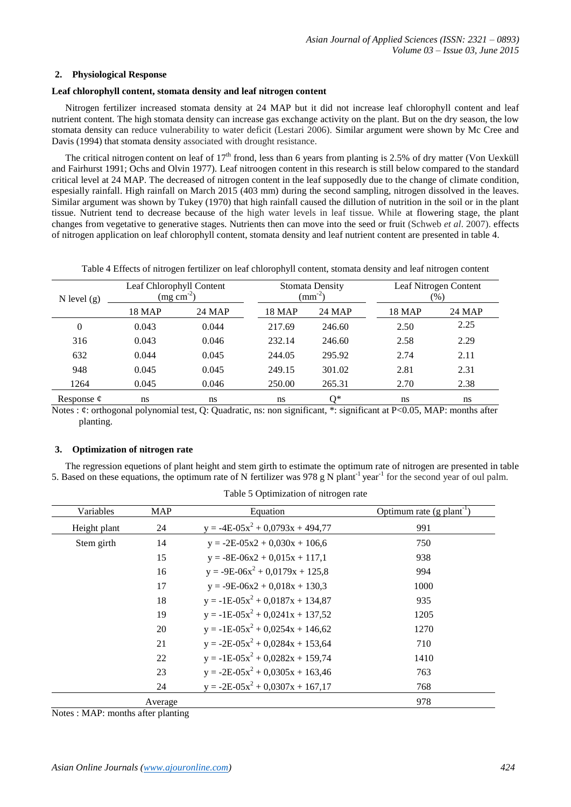## **2. Physiological Response**

## **Leaf chlorophyll content, stomata density and leaf nitrogen content**

Nitrogen fertilizer increased stomata density at 24 MAP but it did not increase leaf chlorophyll content and leaf nutrient content. The high stomata density can increase gas exchange activity on the plant. But on the dry season, the low stomata density can reduce vulnerability to water deficit (Lestari 2006). Similar argument were shown by Mc Cree and Davis (1994) that stomata density associated with drought resistance.

The critical nitrogen content on leaf of  $17<sup>th</sup>$  frond, less than 6 years from planting is 2.5% of dry matter (Von Uexküll and Fairhurst 1991; Ochs and Olvin 1977). Leaf nitroogen content in this research is still below compared to the standard critical level at 24 MAP. The decreased of nitrogen content in the leaf supposedly due to the change of climate condition, espesially rainfall. High rainfall on March 2015 (403 mm) during the second sampling, nitrogen dissolved in the leaves. Similar argument was shown by Tukey (1970) that high rainfall caused the dillution of nutrition in the soil or in the plant tissue. Nutrient tend to decrease because of the high water levels in leaf tissue. While at flowering stage, the plant changes from vegetative to generative stages. Nutrients then can move into the seed or fruit (Schweb *et al*. 2007). effects of nitrogen application on leaf chlorophyll content, stomata density and leaf nutrient content are presented in table 4.

Table 4 Effects of nitrogen fertilizer on leaf chlorophyll content, stomata density and leaf nitrogen content

| N level $(g)$   | Leaf Chlorophyll Content<br>$\left(\text{mg cm}^2\right)$ |        |               | <b>Stomata Density</b><br>$\rm (mm^{-2})$ |        | Leaf Nitrogen Content<br>$(\%)$ |  |
|-----------------|-----------------------------------------------------------|--------|---------------|-------------------------------------------|--------|---------------------------------|--|
|                 | <b>18 MAP</b>                                             | 24 MAP | <b>18 MAP</b> | 24 MAP                                    | 18 MAP | 24 MAP                          |  |
| $\mathbf{0}$    | 0.043                                                     | 0.044  | 217.69        | 246.60                                    | 2.50   | 2.25                            |  |
| 316             | 0.043                                                     | 0.046  | 232.14        | 246.60                                    | 2.58   | 2.29                            |  |
| 632             | 0.044                                                     | 0.045  | 244.05        | 295.92                                    | 2.74   | 2.11                            |  |
| 948             | 0.045                                                     | 0.045  | 249.15        | 301.02                                    | 2.81   | 2.31                            |  |
| 1264            | 0.045                                                     | 0.046  | 250.00        | 265.31                                    | 2.70   | 2.38                            |  |
| Response $\phi$ | ns                                                        | ns     | ns            | Q*                                        | ns     | ns                              |  |

Notes : ¢: orthogonal polynomial test, Q: Quadratic, ns: non significant, \*: significant at P<0.05, MAP: months after planting.

## **3. Optimization of nitrogen rate**

The regression equetions of plant height and stem girth to estimate the optimum rate of nitrogen are presented in table 5. Based on these equations, the optimum rate of N fertilizer was 978 g N plant<sup>-1</sup> year<sup>-1</sup> for the second year of oul palm.

| Variables    | <b>MAP</b> | Equation                             | Optimum rate (g plant <sup>-1</sup> ) |
|--------------|------------|--------------------------------------|---------------------------------------|
| Height plant | 24         | $y = -4E-05x^2 + 0.0793x + 494.77$   | 991                                   |
| Stem girth   | 14         | $y = -2E - 05x^2 + 0.030x + 106.6$   | 750                                   |
|              | 15         | $y = -8E-06x^2 + 0.015x + 117,1$     | 938                                   |
|              | 16         | $y = -9E-06x^2 + 0.0179x + 125.8$    | 994                                   |
|              | 17         | $y = -9E-06x^2 + 0.018x + 130.3$     | 1000                                  |
|              | 18         | $y = -1E-05x^2 + 0.0187x + 134.87$   | 935                                   |
|              | 19         | $y = -1E-05x^{2} + 0.0241x + 137.52$ | 1205                                  |
|              | 20         | $y = -1E-05x^2 + 0.0254x + 146.62$   | 1270                                  |
|              | 21         | $y = -2E-05x^2 + 0.0284x + 153.64$   | 710                                   |
|              | 22         | $y = -1E-05x^{2} + 0.0282x + 159.74$ | 1410                                  |
|              | 23         | $y = -2E - 0.0305x + 163.46$         | 763                                   |
|              | 24         | $y = -2E - 0.0307x + 167,17$         | 768                                   |
|              | Average    |                                      | 978                                   |

Table 5 Optimization of nitrogen rate

Notes : MAP: months after planting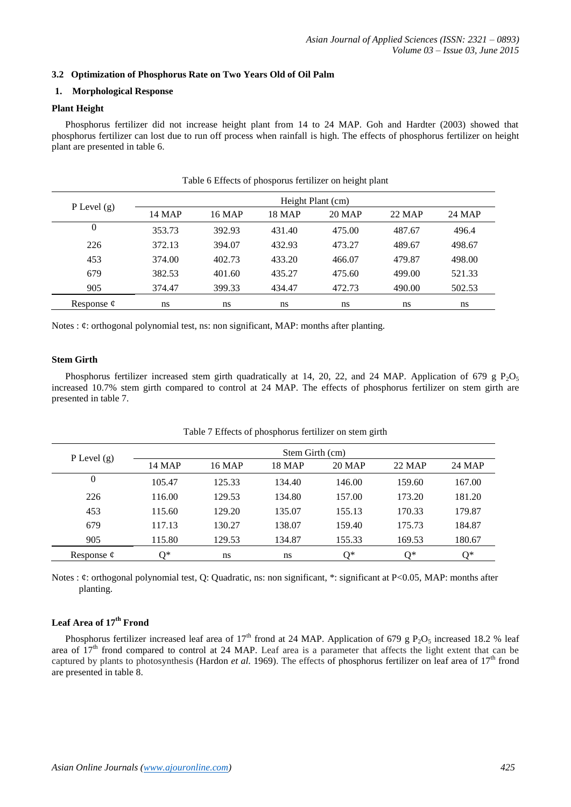## **3.2 Optimization of Phosphorus Rate on Two Years Old of Oil Palm**

## **1. Morphological Response**

#### **Plant Height**

Phosphorus fertilizer did not increase height plant from 14 to 24 MAP. Goh and Hardter (2003) showed that phosphorus fertilizer can lost due to run off process when rainfall is high. The effects of phosphorus fertilizer on height plant are presented in table 6.

|                 | Height Plant (cm) |        |               |        |        |        |
|-----------------|-------------------|--------|---------------|--------|--------|--------|
| P Level $(g)$   | <b>14 MAP</b>     | 16 MAP | <b>18 MAP</b> | 20 MAP | 22 MAP | 24 MAP |
| 0               | 353.73            | 392.93 | 431.40        | 475.00 | 487.67 | 496.4  |
| 226             | 372.13            | 394.07 | 432.93        | 473.27 | 489.67 | 498.67 |
| 453             | 374.00            | 402.73 | 433.20        | 466.07 | 479.87 | 498.00 |
| 679             | 382.53            | 401.60 | 435.27        | 475.60 | 499.00 | 521.33 |
| 905             | 374.47            | 399.33 | 434.47        | 472.73 | 490.00 | 502.53 |
| Response $\phi$ | ns                | ns     | ns            | ns     | ns     | ns     |

Table 6 Effects of phosporus fertilizer on height plant

Notes :  $\phi$ : orthogonal polynomial test, ns: non significant, MAP: months after planting.

## **Stem Girth**

Phosphorus fertilizer increased stem girth quadratically at 14, 20, 22, and 24 MAP. Application of 679 g P<sub>2</sub>O<sub>5</sub> increased 10.7% stem girth compared to control at 24 MAP. The effects of phosphorus fertilizer on stem girth are presented in table 7.

|                 |        |        | Stem Girth (cm) |        |        |               |
|-----------------|--------|--------|-----------------|--------|--------|---------------|
| P Level $(g)$   | 14 MAP | 16 MAP | <b>18 MAP</b>   | 20 MAP | 22 MAP | <b>24 MAP</b> |
| $\overline{0}$  | 105.47 | 125.33 | 134.40          | 146.00 | 159.60 | 167.00        |
| 226             | 116.00 | 129.53 | 134.80          | 157.00 | 173.20 | 181.20        |
| 453             | 115.60 | 129.20 | 135.07          | 155.13 | 170.33 | 179.87        |
| 679             | 117.13 | 130.27 | 138.07          | 159.40 | 175.73 | 184.87        |
| 905             | 115.80 | 129.53 | 134.87          | 155.33 | 169.53 | 180.67        |
| Response $\phi$ | ∩*     | ns     | ns              | 0*     | 0*     | $0^*$         |

| Table 7 Effects of phosphorus fertilizer on stem girth |  |  |
|--------------------------------------------------------|--|--|
|                                                        |  |  |

Notes : ¢: orthogonal polynomial test, Q: Quadratic, ns: non significant, \*: significant at P<0.05, MAP: months after planting.

## **Leaf Area of 17th Frond**

Phosphorus fertilizer increased leaf area of 17<sup>th</sup> frond at 24 MAP. Application of 679 g P<sub>2</sub>O<sub>5</sub> increased 18.2 % leaf area of  $17<sup>th</sup>$  frond compared to control at 24 MAP. Leaf area is a parameter that affects the light extent that can be captured by plants to photosynthesis (Hardon *et al.* 1969). The effects of phosphorus fertilizer on leaf area of 17<sup>th</sup> frond are presented in table 8.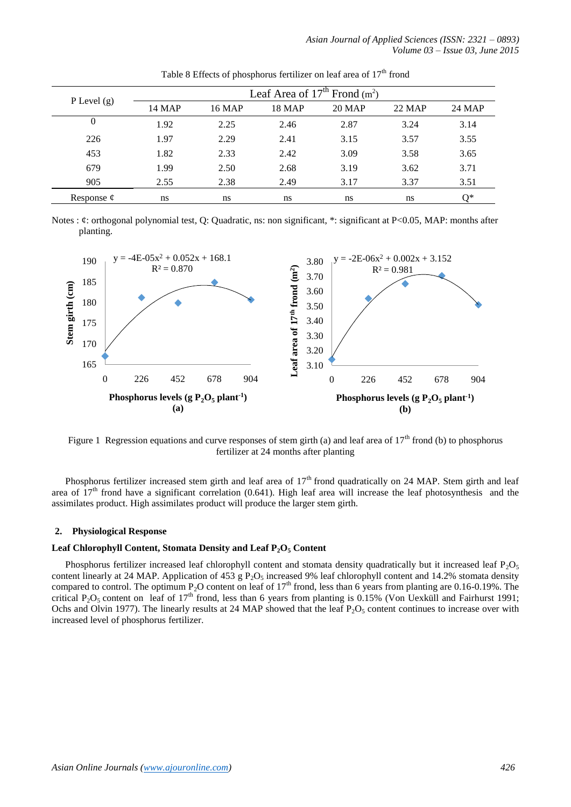| P Level $(g)$   |               |               |               | Leaf Area of $17th$ Frond (m <sup>2</sup> ) |        |               |
|-----------------|---------------|---------------|---------------|---------------------------------------------|--------|---------------|
|                 | <b>14 MAP</b> | <b>16 MAP</b> | <b>18 MAP</b> | <b>20 MAP</b>                               | 22 MAP | <b>24 MAP</b> |
| 0               | 1.92          | 2.25          | 2.46          | 2.87                                        | 3.24   | 3.14          |
| 226             | 1.97          | 2.29          | 2.41          | 3.15                                        | 3.57   | 3.55          |
| 453             | 1.82          | 2.33          | 2.42          | 3.09                                        | 3.58   | 3.65          |
| 679             | 1.99          | 2.50          | 2.68          | 3.19                                        | 3.62   | 3.71          |
| 905             | 2.55          | 2.38          | 2.49          | 3.17                                        | 3.37   | 3.51          |
| Response $\phi$ | ns            | ns            | ns            | ns                                          | ns     | O*            |

Table 8 Effects of phosphorus fertilizer on leaf area of  $17<sup>th</sup>$  frond

Notes : ¢: orthogonal polynomial test, Q: Quadratic, ns: non significant, \*: significant at P<0.05, MAP: months after planting.



Figure 1 Regression equations and curve responses of stem girth (a) and leaf area of  $17<sup>th</sup>$  frond (b) to phosphorus fertilizer at 24 months after planting

Phosphorus fertilizer increased stem girth and leaf area of  $17<sup>th</sup>$  frond quadratically on 24 MAP. Stem girth and leaf area of  $17<sup>th</sup>$  frond have a significant correlation (0.641). High leaf area will increase the leaf photosynthesis and the assimilates product. High assimilates product will produce the larger stem girth.

#### **2. Physiological Response**

#### **Leaf Chlorophyll Content, Stomata Density and Leaf P2O<sup>5</sup> Content**

Phosphorus fertilizer increased leaf chlorophyll content and stomata density quadratically but it increased leaf  $P_2O_5$ content linearly at 24 MAP. Application of 453 g  $P_2O_5$  increased 9% leaf chlorophyll content and 14.2% stomata density compared to control. The optimum  $P_2O$  content on leaf of  $17<sup>th</sup>$  frond, less than 6 years from planting are 0.16-0.19%. The critical P<sub>2</sub>O<sub>5</sub> content on leaf of  $17<sup>th</sup>$  frond, less than 6 years from planting is 0.15% (Von Uexküll and Fairhurst 1991; Ochs and Olvin 1977). The linearly results at 24 MAP showed that the leaf  $P_2O_5$  content continues to increase over with increased level of phosphorus fertilizer.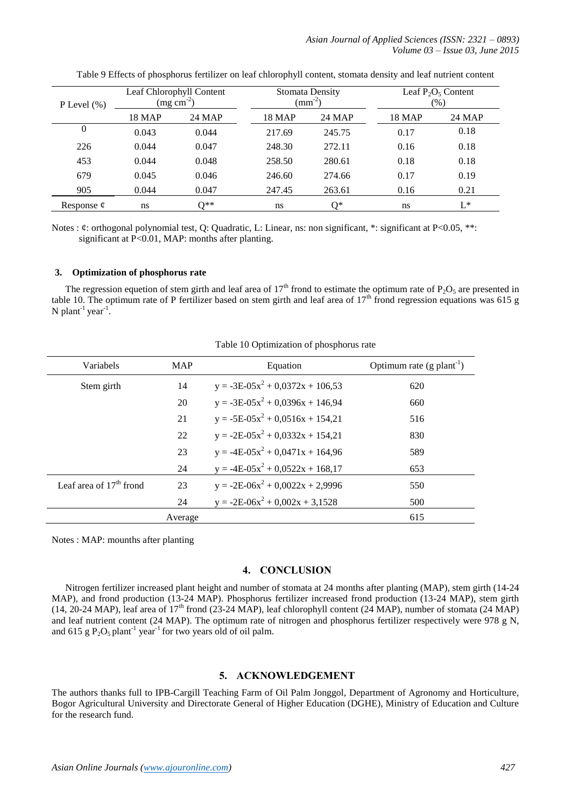*Asian Journal of Applied Sciences (ISSN: 2321 – 0893) Volume 03 – Issue 03, June 2015*

| P Level $(\% )$ | Leaf Chlorophyll Content<br>$(mg cm-2)$ |               |               | <b>Stomata Density</b><br>$\rm (mm^{-2})$ |               | Leaf $P_2O_5$ Content<br>$(\%)$ |  |
|-----------------|-----------------------------------------|---------------|---------------|-------------------------------------------|---------------|---------------------------------|--|
|                 | <b>18 MAP</b>                           | 24 MAP        | <b>18 MAP</b> | 24 MAP                                    | <b>18 MAP</b> | 24 MAP                          |  |
| $\theta$        | 0.043                                   | 0.044         | 217.69        | 245.75                                    | 0.17          | 0.18                            |  |
| 226             | 0.044                                   | 0.047         | 248.30        | 272.11                                    | 0.16          | 0.18                            |  |
| 453             | 0.044                                   | 0.048         | 258.50        | 280.61                                    | 0.18          | 0.18                            |  |
| 679             | 0.045                                   | 0.046         | 246.60        | 274.66                                    | 0.17          | 0.19                            |  |
| 905             | 0.044                                   | 0.047         | 247.45        | 263.61                                    | 0.16          | 0.21                            |  |
| Response $\phi$ | ns                                      | $\Omega^{**}$ | ns            | ∩*                                        | ns            | $L^*$                           |  |

Table 9 Effects of phosphorus fertilizer on leaf chlorophyll content, stomata density and leaf nutrient content

Notes : ¢: orthogonal polynomial test, Q: Quadratic, L: Linear, ns: non significant, \*: significant at P<0.05, \*\*: significant at P<0.01, MAP: months after planting.

## **3. Optimization of phosphorus rate**

The regression equetion of stem girth and leaf area of 17<sup>th</sup> frond to estimate the optimum rate of  $P_2O_5$  are presented in table 10. The optimum rate of P fertilizer based on stem girth and leaf area of  $17<sup>th</sup>$  frond regression equations was 615 g N plant<sup>-1</sup> year<sup>-1</sup>.

| Variabels                 | <b>MAP</b> | Equation                             | Optimum rate $(g$ plant <sup>-1</sup> ) |
|---------------------------|------------|--------------------------------------|-----------------------------------------|
|                           |            |                                      |                                         |
| Stem girth                | 14         | $y = -3E-05x^2 + 0.0372x + 106,53$   | 620                                     |
|                           | 20         | $y = -3E-05x^2 + 0.0396x + 146.94$   | 660                                     |
|                           | 21         | $y = -5E-05x^2 + 0.0516x + 154.21$   | 516                                     |
|                           | 22         | $y = -2E - 05x^2 + 0.0332x + 154.21$ | 830                                     |
|                           | 23         | $y = -4E-05x^2 + 0.0471x + 164.96$   | 589                                     |
|                           | 24         | $y = -4E-05x^2 + 0.0522x + 168.17$   | 653                                     |
| Leaf area of $17th$ frond | 23         | $y = -2E-06x^2 + 0.0022x + 2.9996$   | 550                                     |
|                           | 24         | $y = -2E-06x^2 + 0.002x + 3.1528$    | 500                                     |
|                           | Average    |                                      | 615                                     |

Table 10 Optimization of phosphorus rate

Notes : MAP: mounths after planting

## **4. CONCLUSION**

Nitrogen fertilizer increased plant height and number of stomata at 24 months after planting (MAP), stem girth (14-24 MAP), and frond production (13-24 MAP). Phosphorus fertilizer increased frond production (13-24 MAP), stem girth (14, 20-24 MAP), leaf area of  $17<sup>th</sup>$  frond (23-24 MAP), leaf chlorophyll content (24 MAP), number of stomata (24 MAP) and leaf nutrient content (24 MAP). The optimum rate of nitrogen and phosphorus fertilizer respectively were 978 g N, and 615 g  $P_2O_5$  plant<sup>-1</sup> year<sup>-1</sup> for two years old of oil palm.

# **5. ACKNOWLEDGEMENT**

The authors thanks full to IPB-Cargill Teaching Farm of Oil Palm Jonggol, Department of Agronomy and Horticulture, Bogor Agricultural University and Directorate General of Higher Education (DGHE), Ministry of Education and Culture for the research fund.